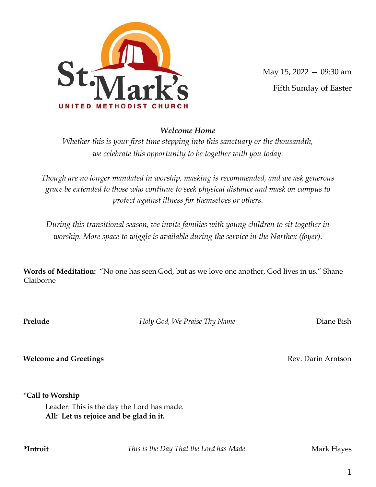

May 15, 2022 — 09:30 am

Fifth Sunday of Easter

# Welcome Home

Whether this is your first time stepping into this sanctuary or the thousandth, we celebrate this opportunity to be together with you today.

Though are no longer mandated in worship, masking is recommended, and we ask generous grace be extended to those who continue to seek physical distance and mask on campus to protect against illness for themselves or others.

During this transitional season, we invite families with young children to sit together in worship. More space to wiggle is available during the service in the Narthex (foyer).

Words of Meditation: "No one has seen God, but as we love one another, God lives in us." Shane Claiborne

**Prelude** Holy God, We Praise Thy Name **Diane Bish** 

Welcome and Greetings **Rev. Darin Arntson** Rev. Darin Arntson

\*Call to Worship

Leader: This is the day the Lord has made. All: Let us rejoice and be glad in it.

\*Introit **This is the Day That the Lord has Made** Mark Hayes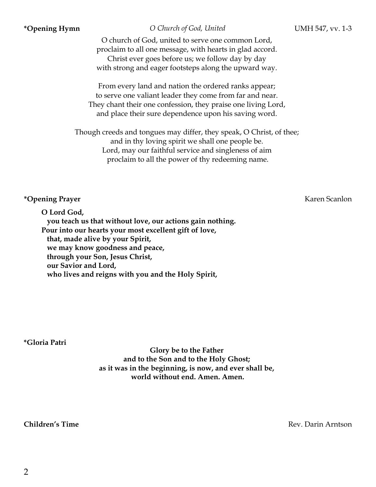\***Opening Hymn**  $\qquad O$  Church of God, United UMH 547, vv. 1-3

O church of God, united to serve one common Lord, proclaim to all one message, with hearts in glad accord. Christ ever goes before us; we follow day by day with strong and eager footsteps along the upward way.

From every land and nation the ordered ranks appear; to serve one valiant leader they come from far and near. They chant their one confession, they praise one living Lord, and place their sure dependence upon his saving word.

Though creeds and tongues may differ, they speak, O Christ, of thee; and in thy loving spirit we shall one people be. Lord, may our faithful service and singleness of aim proclaim to all the power of thy redeeming name.

## \***Opening Prayer** Karen Scanlon

O Lord God, you teach us that without love, our actions gain nothing. Pour into our hearts your most excellent gift of love, that, made alive by your Spirit, we may know goodness and peace, through your Son, Jesus Christ, our Savior and Lord, who lives and reigns with you and the Holy Spirit,

\*Gloria Patri

Glory be to the Father and to the Son and to the Holy Ghost; as it was in the beginning, is now, and ever shall be, world without end. Amen. Amen.

**Children's Time Rev. Parison** Rev. Darin Arntson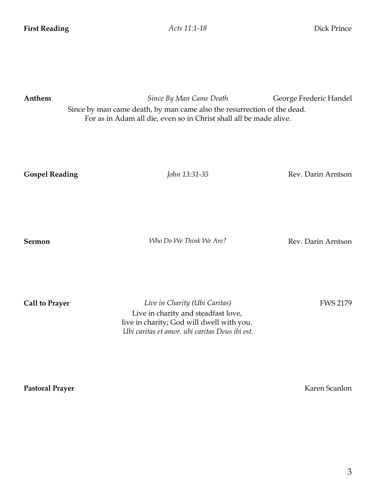| Anthem                | Since By Man Came Death<br>Since by man came death, by man came also the resurrection of the dead.<br>For as in Adam all die, even so in Christ shall all be made alive. | George Frederic Handel |
|-----------------------|--------------------------------------------------------------------------------------------------------------------------------------------------------------------------|------------------------|
| <b>Gospel Reading</b> | John 13:31-35                                                                                                                                                            | Rev. Darin Arntson     |
| <b>Sermon</b>         | Who Do We Think We Are?                                                                                                                                                  | Rev. Darin Arntson     |
| <b>Call to Prayer</b> | Live in Charity (Ubi Caritas)<br>Live in charity and steadfast love,                                                                                                     | <b>FWS 2179</b>        |

live in charity; God will dwell with you. Ubi caritas et amor, ubi caritas Deus ibi est.

Pastoral Prayer Karen Scanlon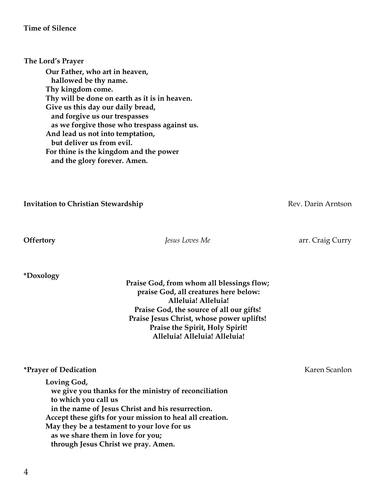\*Doxology

Praise God, from whom all blessings flow; praise God, all creatures here below: Alleluia! Alleluia! Praise God, the source of all our gifts! Praise Jesus Christ, whose power uplifts! Praise the Spirit, Holy Spirit! Alleluia! Alleluia! Alleluia!

# \*Prayer of Dedication Karen Scanlon

Loving God, we give you thanks for the ministry of reconciliation to which you call us in the name of Jesus Christ and his resurrection. Accept these gifts for your mission to heal all creation. May they be a testament to your love for us as we share them in love for you; through Jesus Christ we pray. Amen.

**Offertory** *Jesus Loves Me Jesus Loves Me* **arr.** Craig Curry

Invitation to Christian Stewardship **Example 2018** Rev. Darin Arntson

Our Father, who art in heaven, hallowed be thy name. Thy kingdom come. Thy will be done on earth as it is in heaven. Give us this day our daily bread, and forgive us our trespasses as we forgive those who trespass against us. And lead us not into temptation, but deliver us from evil. For thine is the kingdom and the power and the glory forever. Amen.

The Lord's Prayer

Time of Silence

4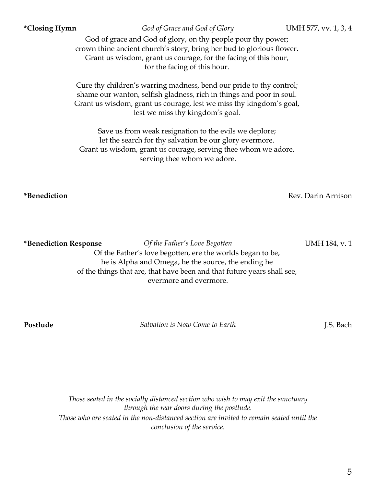5

\*Closing Hymn God of Grace and God of Glory UMH 577, vv. 1, 3, 4

God of grace and God of glory, on thy people pour thy power; crown thine ancient church's story; bring her bud to glorious flower. Grant us wisdom, grant us courage, for the facing of this hour, for the facing of this hour.

Cure thy children's warring madness, bend our pride to thy control; shame our wanton, selfish gladness, rich in things and poor in soul. Grant us wisdom, grant us courage, lest we miss thy kingdom's goal, lest we miss thy kingdom's goal.

Save us from weak resignation to the evils we deplore; let the search for thy salvation be our glory evermore. Grant us wisdom, grant us courage, serving thee whom we adore, serving thee whom we adore.

\***Benediction Response** *Of the Father's Love Begotten* UMH 184, v. 1 Of the Father's love begotten, ere the worlds began to be, he is Alpha and Omega, he the source, the ending he of the things that are, that have been and that future years shall see, evermore and evermore.

**Postlude** Salvation is Now Come to Earth **I.S. Bach** J.S. Bach

Those seated in the socially distanced section who wish to may exit the sanctuary through the rear doors during the postlude. Those who are seated in the non-distanced section are invited to remain seated until the conclusion of the service.

\*Benediction Rev. Darin Arntson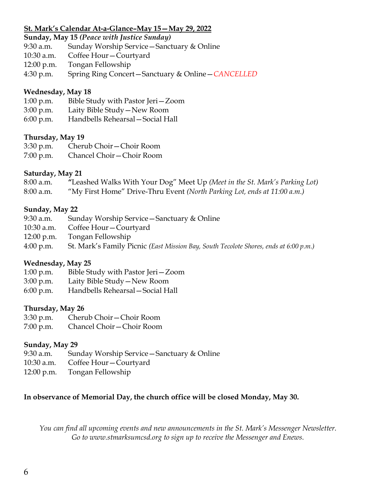## St. Mark's Calendar At-a-Glance–May 15—May 29, 2022

Sunday, May 15 (Peace with Justice Sunday)

- 9:30 a.m. Sunday Worship Service—Sanctuary & Online
- 10:30 a.m. Coffee Hour—Courtyard
- 12:00 p.m. Tongan Fellowship
- 4:30 p.m. Spring Ring Concert—Sanctuary & Online—CANCELLED

#### Wednesday, May 18

- 1:00 p.m. Bible Study with Pastor Jeri—Zoom
- 3:00 p.m. Laity Bible Study—New Room
- 6:00 p.m. Handbells Rehearsal—Social Hall

## Thursday, May 19

| $3:30$ p.m. | Cherub Choir – Choir Room  |
|-------------|----------------------------|
| $7:00$ p.m. | Chancel Choir – Choir Room |

## Saturday, May 21

| $8:00$ a.m. | "Leashed Walks With Your Dog" Meet Up (Meet in the St. Mark's Parking Lot) |
|-------------|----------------------------------------------------------------------------|
| $8:00$ a.m. | "My First Home" Drive-Thru Event (North Parking Lot, ends at 11:00 a.m.)   |

#### Sunday, May 22

| Sunday Worship Service - Sanctuary & Online                                           |
|---------------------------------------------------------------------------------------|
| Coffee Hour – Courtyard                                                               |
| Tongan Fellowship                                                                     |
| St. Mark's Family Picnic (East Mission Bay, South Tecolote Shores, ends at 6:00 p.m.) |
|                                                                                       |

## Wednesday, May 25

- 1:00 p.m. Bible Study with Pastor Jeri—Zoom
- 3:00 p.m. Laity Bible Study—New Room
- 6:00 p.m. Handbells Rehearsal—Social Hall

## Thursday, May 26

- 3:30 p.m. Cherub Choir—Choir Room
- 7:00 p.m. Chancel Choir—Choir Room

## Sunday, May 29

- 9:30 a.m. Sunday Worship Service—Sanctuary & Online
- 10:30 a.m. Coffee Hour—Courtyard
- 12:00 p.m. Tongan Fellowship

## In observance of Memorial Day, the church office will be closed Monday, May 30.

You can find all upcoming events and new announcements in the St. Mark's Messenger Newsletter. Go to www.stmarksumcsd.org to sign up to receive the Messenger and Enews.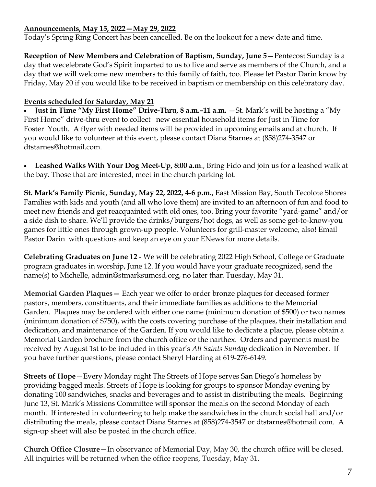# Announcements, May 15, 2022—May 29, 2022

Today's Spring Ring Concert has been cancelled. Be on the lookout for a new date and time.

Reception of New Members and Celebration of Baptism, Sunday, June 5—Pentecost Sunday is a day that wecelebrate God's Spirit imparted to us to live and serve as members of the Church, and a day that we will welcome new members to this family of faith, too. Please let Pastor Darin know by Friday, May 20 if you would like to be received in baptism or membership on this celebratory day.

# Events scheduled for Saturday, May 21

• Just in Time "My First Home" Drive-Thru, 8 a.m.–11 a.m.  $-St$ . Mark's will be hosting a "My First Home" drive-thru event to collect new essential household items for Just in Time for Foster Youth. A flyer with needed items will be provided in upcoming emails and at church. If you would like to volunteer at this event, please contact Diana Starnes at (858)274-3547 or dtstarnes@hotmail.com.

· Leashed Walks With Your Dog Meet-Up, 8:00 a.m., Bring Fido and join us for a leashed walk at the bay. Those that are interested, meet in the church parking lot.

St. Mark's Family Picnic, Sunday, May 22, 2022, 4-6 p.m., East Mission Bay, South Tecolote Shores Families with kids and youth (and all who love them) are invited to an afternoon of fun and food to meet new friends and get reacquainted with old ones, too. Bring your favorite "yard-game" and/or a side dish to share. We'll provide the drinks/burgers/hot dogs, as well as some get-to-know-you games for little ones through grown-up people. Volunteers for grill-master welcome, also! Email Pastor Darin with questions and keep an eye on your ENews for more details.

Celebrating Graduates on June 12 - We will be celebrating 2022 High School, College or Graduate program graduates in worship, June 12. If you would have your graduate recognized, send the name(s) to Michelle, admin@stmarksumcsd.org, no later than Tuesday, May 31.

Memorial Garden Plaques— Each year we offer to order bronze plaques for deceased former pastors, members, constituents, and their immediate families as additions to the Memorial Garden. Plaques may be ordered with either one name (minimum donation of \$500) or two names (minimum donation of \$750), with the costs covering purchase of the plaques, their installation and dedication, and maintenance of the Garden. If you would like to dedicate a plaque, please obtain a Memorial Garden brochure from the church office or the narthex. Orders and payments must be received by August 1st to be included in this year's All Saints Sunday dedication in November. If you have further questions, please contact Sheryl Harding at 619-276-6149.

Streets of Hope—Every Monday night The Streets of Hope serves San Diego's homeless by providing bagged meals. Streets of Hope is looking for groups to sponsor Monday evening by donating 100 sandwiches, snacks and beverages and to assist in distributing the meals. Beginning June 13, St. Mark's Missions Committee will sponsor the meals on the second Monday of each month. If interested in volunteering to help make the sandwiches in the church social hall and/or distributing the meals, please contact Diana Starnes at (858)274-3547 or dtstarnes@hotmail.com. A sign-up sheet will also be posted in the church office.

Church Office Closure—In observance of Memorial Day, May 30, the church office will be closed. All inquiries will be returned when the office reopens, Tuesday, May 31.